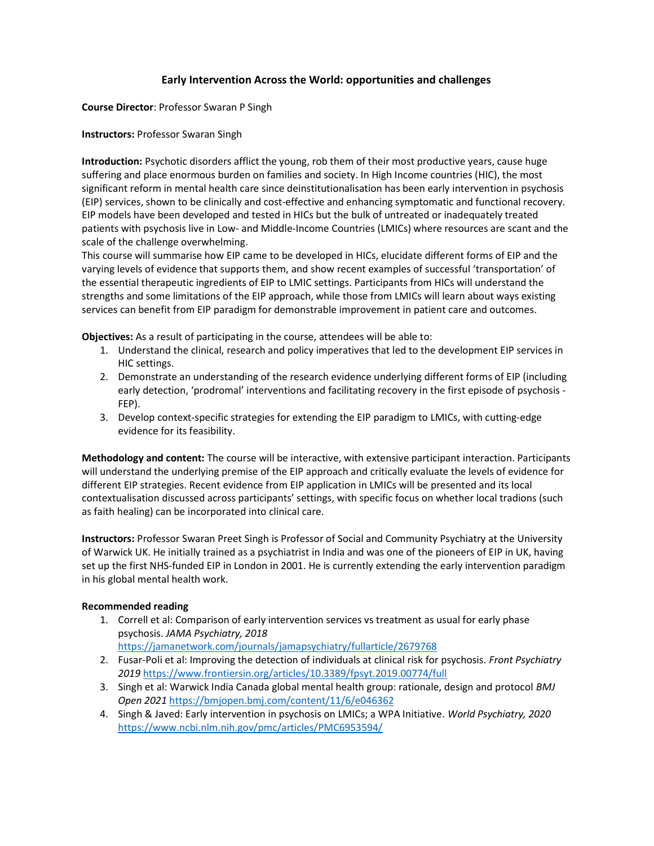## Early Intervention Across the World: opportunities and challenges

Course Director: Professor Swaran P Singh

Instructors: Professor Swaran Singh

Introduction: Psychotic disorders afflict the young, rob them of their most productive years, cause huge suffering and place enormous burden on families and society. In High Income countries (HIC), the most significant reform in mental health care since deinstitutionalisation has been early intervention in psychosis (EIP) services, shown to be clinically and cost-effective and enhancing symptomatic and functional recovery. EIP models have been developed and tested in HICs but the bulk of untreated or inadequately treated patients with psychosis live in Low- and Middle-Income Countries (LMICs) where resources are scant and the scale of the challenge overwhelming.

This course will summarise how EIP came to be developed in HICs, elucidate different forms of EIP and the varying levels of evidence that supports them, and show recent examples of successful 'transportation' of the essential therapeutic ingredients of EIP to LMIC settings. Participants from HICs will understand the strengths and some limitations of the EIP approach, while those from LMICs will learn about ways existing services can benefit from EIP paradigm for demonstrable improvement in patient care and outcomes.

Objectives: As a result of participating in the course, attendees will be able to:

- 1. Understand the clinical, research and policy imperatives that led to the development EIP services in HIC settings.
- 2. Demonstrate an understanding of the research evidence underlying different forms of EIP (including early detection, 'prodromal' interventions and facilitating recovery in the first episode of psychosis - FEP).
- 3. Develop context-specific strategies for extending the EIP paradigm to LMICs, with cutting-edge evidence for its feasibility.

Methodology and content: The course will be interactive, with extensive participant interaction. Participants will understand the underlying premise of the EIP approach and critically evaluate the levels of evidence for different EIP strategies. Recent evidence from EIP application in LMICs will be presented and its local contextualisation discussed across participants' settings, with specific focus on whether local tradions (such as faith healing) can be incorporated into clinical care.

Instructors: Professor Swaran Preet Singh is Professor of Social and Community Psychiatry at the University of Warwick UK. He initially trained as a psychiatrist in India and was one of the pioneers of EIP in UK, having set up the first NHS-funded EIP in London in 2001. He is currently extending the early intervention paradigm in his global mental health work.

## Recommended reading

- 1. Correll et al: Comparison of early intervention services vs treatment as usual for early phase psychosis. JAMA Psychiatry, 2018
- https://jamanetwork.com/journals/jamapsychiatry/fullarticle/2679768
- 2. Fusar-Poli et al: Improving the detection of individuals at clinical risk for psychosis. Front Psychiatry 2019 https://www.frontiersin.org/articles/10.3389/fpsyt.2019.00774/full
- 3. Singh et al: Warwick India Canada global mental health group: rationale, design and protocol BMJ Open 2021 https://bmjopen.bmj.com/content/11/6/e046362
- 4. Singh & Javed: Early intervention in psychosis on LMICs; a WPA Initiative. World Psychiatry, 2020 https://www.ncbi.nlm.nih.gov/pmc/articles/PMC6953594/